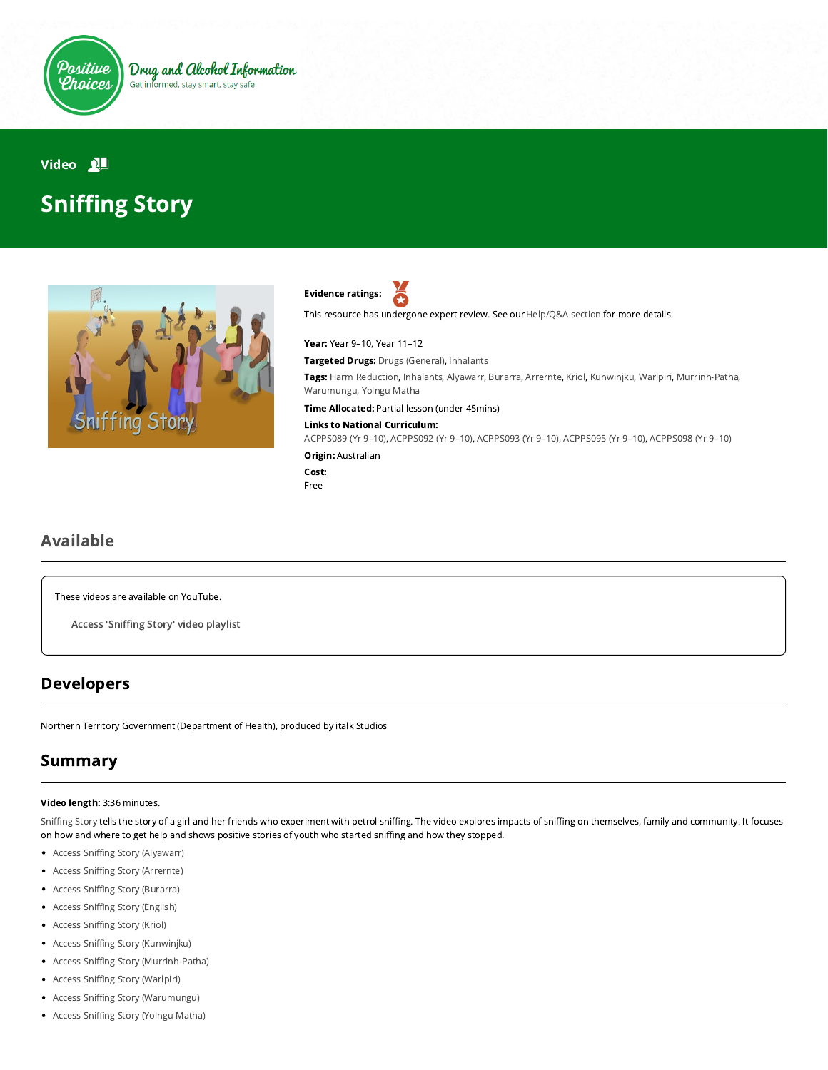

Drug and Alcohol Information Get informed, stay smart, stay safe

# Video **NH Sniffing Story**





This resource has undergone expert review. See our [Help/Q&A section](https://positivechoices.org.au/help/questions-and-answers/) for more details.

#### Year: Year 9–10, Year 11–12

Targeted Drugs: Drugs (General), Inhalants

Tags: Harm Reduction, Inhalants, Alyawarr, Burarra, Arrernte, Kriol, Kunwinjku, Warlpiri, Murrinh-Patha, Warumungu, Yolngu Matha

Time Allocated: Partial lesson (under 45mins)

#### Links to National Curriculum:

[ACPPS089 \(Yr 9–10\),](http://www.australiancurriculum.edu.au/Curriculum/ContentDescription/ACPPS089) [ACPPS092 \(Yr 9–10\),](http://www.australiancurriculum.edu.au/Curriculum/ContentDescription/ACPPS092) [ACPPS093 \(Yr 9–10\),](http://www.australiancurriculum.edu.au/Curriculum/ContentDescription/ACPPS093) [ACPPS095 \(Yr 9–10\)](http://www.australiancurriculum.edu.au/Curriculum/ContentDescription/ACPPS095), [ACPPS098 \(Yr 9–10\)](http://www.australiancurriculum.edu.au/Curriculum/ContentDescription/ACPPS098)

Origin: Australian

Cost: Free

### Available

These videos are available on YouTube.

Access 'Sniffing Story' video playlist

### Developers

Northern Territory Government (Department of Health), produced by italk Studios

### Summary

#### Video length: 3:36 minutes.

Sniffing Story tells the story of a girl and her friends who experiment with petrol sniffing. The video explores impacts of sniffing on themselves, family and community. It focuses on how and where to get help and shows positive stories of youth who started sniffing and how they stopped.

- Access Sniffing Story (Alyawarr)
- Access Sniffing Story (Arrernte)
- Access Sniffing Story (Burarra)
- Access Sniffing Story (English)
- Access Sniffing Story (Kriol)
- Access Sniffing Story (Kunwinjku)
- Access Sniffing Story (Murrinh-Patha)
- Access Sniffing Story (Warlpiri)
- $\bullet$ Access Sniffing Story (Warumungu)
- Access Sniffing Story (Yolngu Matha)